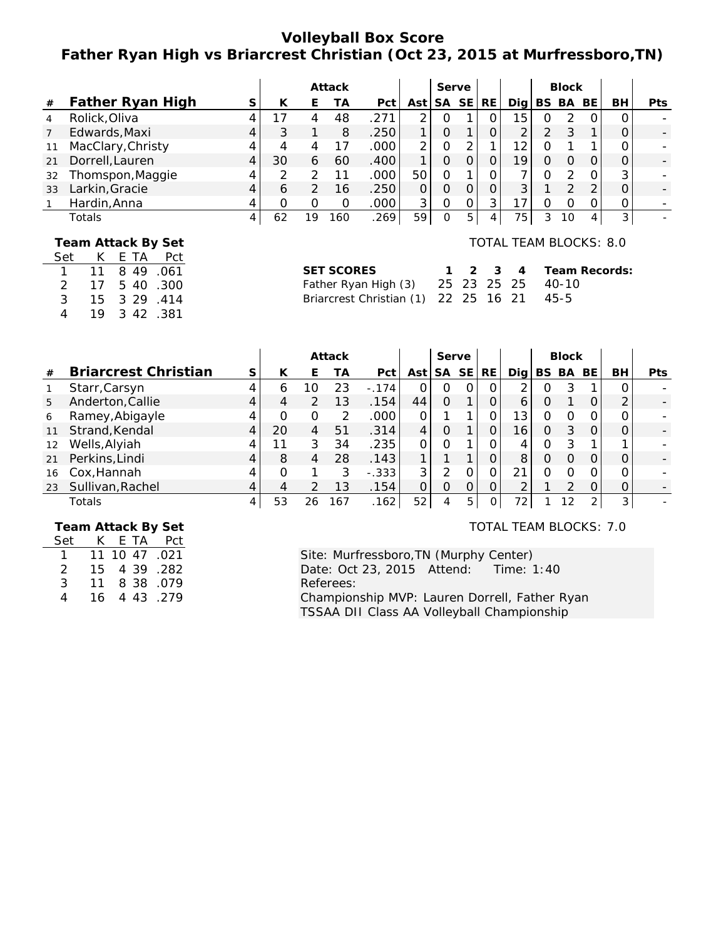# **Volleyball Box Score Father Ryan High vs Briarcrest Christian (Oct 23, 2015 at Murfressboro,TN)**

|    |                   |   |    |    | Attack |      |     | Serve |    |           |     |   | <b>Block</b> |              |    |            |
|----|-------------------|---|----|----|--------|------|-----|-------|----|-----------|-----|---|--------------|--------------|----|------------|
| #  | Father Ryan High  |   | К  |    | TА     | Pct  | Ast | SA SE |    | <b>RE</b> | Dia |   | BS BA        | BE           | BH | <b>Pts</b> |
| 4  | Rolick, Oliva     |   |    | 4  | 48     | .271 |     |       |    |           | 15  |   |              |              |    |            |
|    | Edwards, Maxi     | 4 |    |    | 8      | .250 |     |       |    |           |     |   |              |              |    |            |
| 11 | MacClary, Christy |   |    |    |        | .000 |     |       |    |           | 12  |   |              |              |    |            |
| 21 | Dorrell, Lauren   | 4 | 30 | 6  | 60     | .400 |     | Ο     |    |           | 19  |   |              |              |    |            |
| 32 | Thomspon, Maggie  |   |    |    |        | .000 | 50  | ი     |    |           |     |   |              |              | 3  |            |
| 33 | Larkin, Gracie    |   | 6  |    | 16     | .250 |     | Ο     |    |           | ⌒   |   |              |              |    |            |
|    | Hardin, Anna      |   |    |    |        | .000 | 3   |       |    | 3         |     |   |              |              |    |            |
|    | Totals            | 4 | 62 | 19 | 160    | .269 | 59  | 0     | Б. |           | 75  | 3 | 10           | $\mathbf{4}$ | 3  |            |

#### **Team Attack By Set** Set K E TA Pct

| $\mathbf{1}$ | 11 | 849  | .061 |
|--------------|----|------|------|
| 2            | 17 | 540  | .300 |
| 3            | 15 | 3 29 | .414 |
| 4            | 19 | 342  | .381 |

## TOTAL TEAM BLOCKS: 8.0

| SET SCORES                                |  |  | 1 2 3 4 Team Records: |
|-------------------------------------------|--|--|-----------------------|
| Father Ryan High (3) 25 23 25 25 40-10    |  |  |                       |
| Briarcrest Christian (1) 22 25 16 21 45-5 |  |  |                       |

|    |                             |   |              |    | Attack |         |     | Serve |           |           |     |     | <b>Block</b> |     |    |      |
|----|-----------------------------|---|--------------|----|--------|---------|-----|-------|-----------|-----------|-----|-----|--------------|-----|----|------|
| #  | <b>Briarcrest Christian</b> | S | К            | E  | ТA     | Pct     | Ast | SА    | <b>SE</b> | <b>RE</b> | Dia | BS. | BA           | BE. | BH | Pts. |
|    | Starr, Carsyn               |   | <sub>6</sub> | 10 | 23     | $-.174$ |     | O     |           | 0         |     | 0   |              |     |    |      |
| 5  | Anderton, Callie            |   | 4            | 2  | 13     | .154    | 44  | 0     |           |           | 6   | ი   |              |     | ⌒  |      |
| 6  | Ramey, Abigayle             |   |              | Ο  | 2      | .000    |     |       |           |           | 13  | ი   |              |     |    |      |
| 11 | Strand, Kendal              |   | 20           | 4  | 51     | .314    | 4   | 0     |           |           | 16  | 0   |              |     |    |      |
| 12 | Wells, Alyiah               |   | 11           | 3  | 34     | .235    |     | Ω     |           |           | 4   |     |              |     |    |      |
| 21 | Perkins, Lindi              |   | 8            | 4  | 28     | .143    |     |       |           |           | 8   | ი   | $\Omega$     | O   |    |      |
| 16 | Cox, Hannah                 |   |              |    | 3      | $-.333$ | 3   | っ     |           | ∩         |     |     |              |     |    |      |
| 23 | Sullivan, Rachel            |   | 4            |    | 13     | .154    |     | 0     |           |           |     |     |              |     |    |      |
|    | Totals                      |   | 53           | 26 | 167    | .162    | 52  | 4     | 5         |           | 72  |     | 12           |     |    |      |

### **Team Attack By Set**

| Set           | K.  | E TA | Pct           |
|---------------|-----|------|---------------|
|               |     |      | 11 10 47 .021 |
| $\mathcal{P}$ | 15. | 4 39 | . 282         |
| 3             | 11  |      | 8 38 .079     |
| 4             | 16  |      | 4 43 .279     |

### TOTAL TEAM BLOCKS: 7.0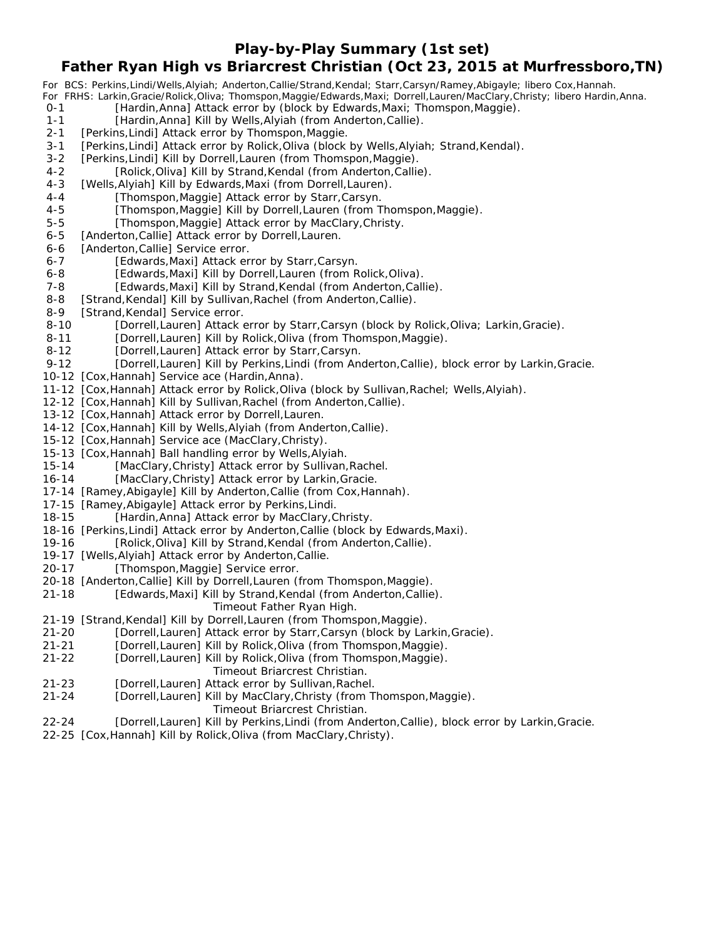**Play-by-Play Summary (1st set)**

## **Father Ryan High vs Briarcrest Christian (Oct 23, 2015 at Murfressboro,TN)**

*For BCS: Perkins,Lindi/Wells,Alyiah; Anderton,Callie/Strand,Kendal; Starr,Carsyn/Ramey,Abigayle; libero Cox,Hannah. For FRHS: Larkin,Gracie/Rolick,Oliva; Thomspon,Maggie/Edwards,Maxi; Dorrell,Lauren/MacClary,Christy; libero Hardin,Anna.* [Hardin,Anna] Attack error by (block by Edwards,Maxi; Thomspon,Maggie). 1-1 [Hardin,Anna] Kill by Wells,Alyiah (from Anderton,Callie). 2-1 [Perkins, Lindi] Attack error by Thomspon, Maggie. 3-1 [Perkins, Lindi] Attack error by Rolick, Oliva (block by Wells, Alyiah; Strand, Kendal). 3-2 [Perkins, Lindi] Kill by Dorrell, Lauren (from Thomspon, Maggie). 4-2 [Rolick,Oliva] Kill by Strand,Kendal (from Anderton,Callie). 4-3 [Wells, Alyiah] Kill by Edwards, Maxi (from Dorrell, Lauren). 4-4 [Thomspon,Maggie] Attack error by Starr,Carsyn. 4-5 [Thomspon,Maggie] Kill by Dorrell,Lauren (from Thomspon,Maggie). 5-5 [Thomspon,Maggie] Attack error by MacClary,Christy. 6-5 [Anderton, Callie] Attack error by Dorrell, Lauren. 6-6 [Anderton, Callie] Service error. 6-7 [Edwards, Maxi] Attack error by Starr, Carsyn. 6-8 [Edwards, Maxi] Kill by Dorrell, Lauren (from Rolick, Oliva). 7-8 [Edwards, Maxi] Kill by Strand, Kendal (from Anderton, Callie). 8-8 [Strand, Kendal] Kill by Sullivan, Rachel (from Anderton, Callie). 8-9 [Strand, Kendal] Service error. 8-10 [Dorrell,Lauren] Attack error by Starr,Carsyn (block by Rolick,Oliva; Larkin,Gracie). 8-11 [Dorrell,Lauren] Kill by Rolick, Oliva (from Thomspon, Maggie). 8-12 [Dorrell,Lauren] Attack error by Starr,Carsyn. 9-12 [Dorrell,Lauren] Kill by Perkins,Lindi (from Anderton,Callie), block error by Larkin,Gracie. 10-12 [Cox,Hannah] Service ace (Hardin,Anna). 11-12 [Cox,Hannah] Attack error by Rolick,Oliva (block by Sullivan,Rachel; Wells,Alyiah). 12-12 [Cox,Hannah] Kill by Sullivan,Rachel (from Anderton,Callie). 13-12 [Cox,Hannah] Attack error by Dorrell,Lauren. 14-12 [Cox,Hannah] Kill by Wells,Alyiah (from Anderton,Callie). 15-12 [Cox,Hannah] Service ace (MacClary,Christy). 15-13 [Cox,Hannah] Ball handling error by Wells,Alyiah. 15-14 [MacClary,Christy] Attack error by Sullivan,Rachel. 16-14 [MacClary, Christy] Attack error by Larkin, Gracie. 17-14 [Ramey,Abigayle] Kill by Anderton,Callie (from Cox,Hannah). 17-15 [Ramey,Abigayle] Attack error by Perkins,Lindi. 18-15 [Hardin,Anna] Attack error by MacClary,Christy. 18-16 [Perkins,Lindi] Attack error by Anderton,Callie (block by Edwards,Maxi). 19-16 [Rolick,Oliva] Kill by Strand,Kendal (from Anderton,Callie). 19-17 [Wells,Alyiah] Attack error by Anderton,Callie. 20-17 [Thomspon,Maggie] Service error. 20-18 [Anderton,Callie] Kill by Dorrell,Lauren (from Thomspon,Maggie). 21-18 [Edwards,Maxi] Kill by Strand,Kendal (from Anderton,Callie). *Timeout Father Ryan High.* 21-19 [Strand, Kendal] Kill by Dorrell, Lauren (from Thomspon, Maggie).

- 21-20 [Dorrell,Lauren] Attack error by Starr,Carsyn (block by Larkin,Gracie).
- 21-21 [Dorrell,Lauren] Kill by Rolick,Oliva (from Thomspon,Maggie).
- 21-22 [Dorrell,Lauren] Kill by Rolick,Oliva (from Thomspon,Maggie). *Timeout Briarcrest Christian.*
- 21-23 [Dorrell,Lauren] Attack error by Sullivan,Rachel.
- 21-24 [Dorrell,Lauren] Kill by MacClary,Christy (from Thomspon,Maggie).
	- *Timeout Briarcrest Christian.*
- 22-24 [Dorrell,Lauren] Kill by Perkins,Lindi (from Anderton,Callie), block error by Larkin,Gracie.
- 22-25 [Cox,Hannah] Kill by Rolick,Oliva (from MacClary,Christy).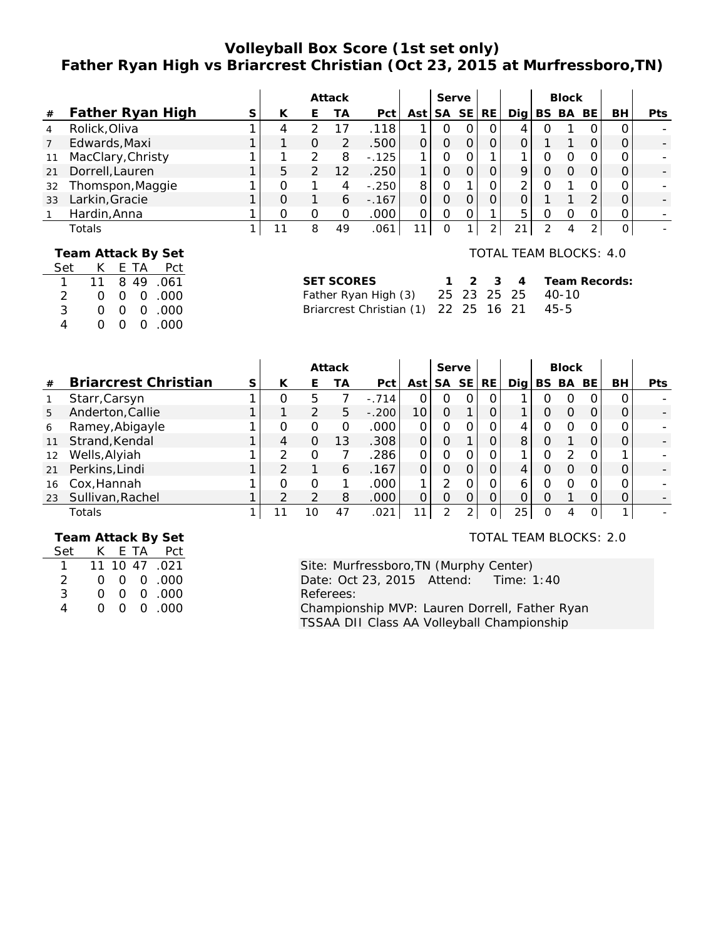# **Volleyball Box Score (1st set only) Father Ryan High vs Briarcrest Christian (Oct 23, 2015 at Murfressboro,TN)**

|    |                   |    |   | Attack |         |     | Serve |           |    |     | <b>Block</b> |     |    |            |
|----|-------------------|----|---|--------|---------|-----|-------|-----------|----|-----|--------------|-----|----|------------|
| #  | Father Ryan High  | К  | ۲ | TА     | Pct     | Ast | SA    | <b>SE</b> | RE | Dia | BS BA        | BE. | BH | <b>Pts</b> |
|    | Rolick, Oliva     | 4  |   |        | 118     |     | O     |           | O  | 4   |              |     |    |            |
|    | Edwards, Maxi     |    | Ο | フ      | .500    |     |       |           |    |     |              |     |    |            |
| 11 | MacClary, Christy |    |   | 8      | $-.125$ |     |       |           |    |     |              |     |    |            |
| 21 | Dorrell, Lauren   | 5  |   |        | .250    |     |       |           |    |     |              |     |    |            |
| 32 | Thomspon, Maggie  |    |   |        | $-.250$ | 8   | ი     |           |    |     |              |     |    |            |
| 33 | Larkin, Gracie    |    |   | 6      | $-.167$ |     | 0     |           |    |     |              | ⌒   |    |            |
|    | Hardin, Anna      |    |   |        | .000    |     |       |           |    | 5   |              |     |    |            |
|    | Totals            | 11 | 8 | 49     | .061    | 11  | 0     |           |    | 21  |              |     |    |            |

### **Team Attack By Set**

| Set           | K.       |          |          | E TA Pct  |
|---------------|----------|----------|----------|-----------|
| $\mathbf{1}$  | 11       |          |          | 8 49 .061 |
| $\mathcal{P}$ | Ω        |          |          | 00.000    |
| 3             | Ω        | O.       |          | 0.000     |
| 4             | $\Omega$ | $\Omega$ | $\Omega$ | .000      |

### TOTAL TEAM BLOCKS: 4.0

| SET SCORES                                |  |  | 1 2 3 4 Team Records: |
|-------------------------------------------|--|--|-----------------------|
| Father Ryan High (3) 25 23 25 25 40-10    |  |  |                       |
| Briarcrest Christian (1) 22 25 16 21 45-5 |  |  |                       |

|    |                             |   |   |               | Attack |         |                 | Serve         |            |              |     |           | <b>Block</b> |          |    |            |
|----|-----------------------------|---|---|---------------|--------|---------|-----------------|---------------|------------|--------------|-----|-----------|--------------|----------|----|------------|
| #  | <b>Briarcrest Christian</b> | S | К | E             | ТA     | Pct     | Ast             | <b>SA</b>     | <b>SE</b>  | RE.          | Dia | <b>BS</b> | BA           | BE       | BH | <b>Pts</b> |
|    | Starr, Carsyn               |   |   | 5             |        | $-.714$ |                 | O             | $\Omega$   | $\Omega$     |     | O         | ( )          | 0        |    |            |
| 5  | Anderton, Callie            |   |   | 2             | 5      | $-.200$ | 10 <sub>1</sub> | O             |            | O            |     | Ο         | $\Omega$     | O        |    |            |
| 6  | Ramey, Abigayle             |   |   | Ο             | O      | .000    | 0               | O             | $\Omega$ . | 0            | 4   | Ω         | Ω            | 0        |    |            |
| 11 | Strand, Kendal              |   | 4 | O             | 13     | .308    | $\mathsf{O}$    | 0             |            | 0            | 8   |           |              | O        |    |            |
| 12 | Wells, Alyiah               |   |   | 0             |        | .286    | 0               | Ω             |            | 0            |     |           |              | O        |    |            |
| 21 | Perkins, Lindi              |   |   |               | 6      | .167    | 0               | 0             | 0          | O            | 4   | Ω         | O            | $\Omega$ |    |            |
| 16 | Cox, Hannah                 |   |   | 0             |        | .000    |                 | っ             |            | Ο            | 6   |           |              | Ω        |    |            |
| 23 | Sullivan, Rachel            |   |   | $\mathcal{P}$ | 8      | .000    | $\Omega$        | Ω             |            | $\Omega$     |     | Ω         |              | O        |    |            |
|    | Totals                      |   |   | 10            | 47     | .021    |                 | $\mathcal{P}$ | ⌒          | $\mathbf{O}$ | 25  |           | Δ            | 0        |    |            |

 **Team Attack By Set**

| Set | K. |                | E TA Pct      |
|-----|----|----------------|---------------|
|     |    |                | 11 10 47 .021 |
| 2   | O. |                |               |
| 3   | Ω  |                | 00.00         |
| Δ   | ∩  | $\overline{O}$ | 0.000         |

#### TOTAL TEAM BLOCKS: 2.0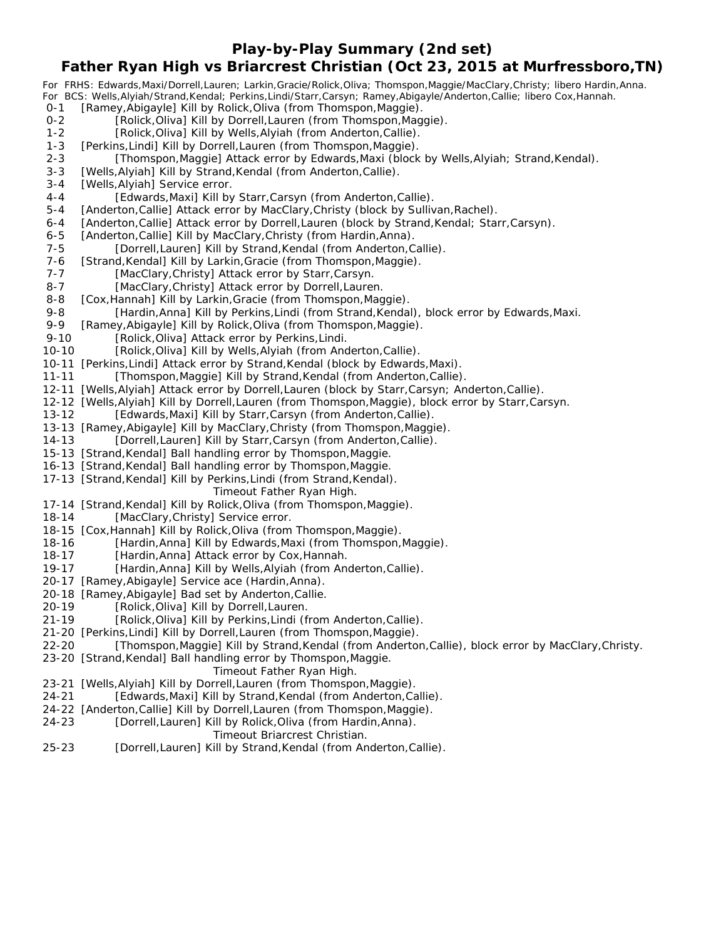**Play-by-Play Summary (2nd set)**

## **Father Ryan High vs Briarcrest Christian (Oct 23, 2015 at Murfressboro,TN)**

*For FRHS: Edwards,Maxi/Dorrell,Lauren; Larkin,Gracie/Rolick,Oliva; Thomspon,Maggie/MacClary,Christy; libero Hardin,Anna. For BCS: Wells,Alyiah/Strand,Kendal; Perkins,Lindi/Starr,Carsyn; Ramey,Abigayle/Anderton,Callie; libero Cox,Hannah.* 0-1 [Ramey,Abigayle] Kill by Rolick,Oliva (from Thomspon,Maggie). 0-2 [Rolick,Oliva] Kill by Dorrell,Lauren (from Thomspon,Maggie). 1-2 [Rolick, Oliva] Kill by Wells, Alyiah (from Anderton, Callie). 1-3 [Perkins, Lindi] Kill by Dorrell, Lauren (from Thomspon, Maggie). 2-3 [Thomspon,Maggie] Attack error by Edwards,Maxi (block by Wells,Alyiah; Strand,Kendal). 3-3 [Wells, Alyiah] Kill by Strand, Kendal (from Anderton, Callie). 3-4 [Wells, Alyiah] Service error. 4-4 [Edwards,Maxi] Kill by Starr,Carsyn (from Anderton,Callie). 5-4 [Anderton, Callie] Attack error by MacClary, Christy (block by Sullivan, Rachel). 6-4 [Anderton,Callie] Attack error by Dorrell,Lauren (block by Strand,Kendal; Starr,Carsyn). 6-5 [Anderton, Callie] Kill by MacClary, Christy (from Hardin, Anna). 7-5 [Dorrell,Lauren] Kill by Strand,Kendal (from Anderton,Callie). 7-6 [Strand, Kendal] Kill by Larkin, Gracie (from Thomspon, Maggie). 7-7 [MacClary, Christy] Attack error by Starr, Carsyn. 8-7 [MacClary, Christy] Attack error by Dorrell, Lauren. 8-8 [Cox, Hannah] Kill by Larkin, Gracie (from Thomspon, Maggie). 9-8 [Hardin,Anna] Kill by Perkins,Lindi (from Strand,Kendal), block error by Edwards,Maxi. 9-9 [Ramey,Abigayle] Kill by Rolick,Oliva (from Thomspon,Maggie). 9-10 [Rolick, Oliva] Attack error by Perkins, Lindi. 10-10 [Rolick,Oliva] Kill by Wells,Alyiah (from Anderton,Callie). 10-11 [Perkins,Lindi] Attack error by Strand,Kendal (block by Edwards,Maxi). 11-11 [Thomspon, Maggie] Kill by Strand, Kendal (from Anderton, Callie). 12-11 [Wells,Alyiah] Attack error by Dorrell,Lauren (block by Starr,Carsyn; Anderton,Callie). 12-12 [Wells,Alyiah] Kill by Dorrell,Lauren (from Thomspon,Maggie), block error by Starr,Carsyn. 13-12 [Edwards,Maxi] Kill by Starr,Carsyn (from Anderton,Callie). 13-13 [Ramey,Abigayle] Kill by MacClary,Christy (from Thomspon,Maggie). 14-13 [Dorrell,Lauren] Kill by Starr,Carsyn (from Anderton,Callie). 15-13 [Strand,Kendal] Ball handling error by Thomspon,Maggie. 16-13 [Strand,Kendal] Ball handling error by Thomspon,Maggie. 17-13 [Strand,Kendal] Kill by Perkins,Lindi (from Strand,Kendal). *Timeout Father Ryan High.* 17-14 [Strand,Kendal] Kill by Rolick,Oliva (from Thomspon,Maggie). 18-14 [MacClary,Christy] Service error. 18-15 [Cox,Hannah] Kill by Rolick,Oliva (from Thomspon,Maggie). 18-16 [Hardin,Anna] Kill by Edwards,Maxi (from Thomspon,Maggie).<br>18-17 [Hardin,Anna] Attack error by Cox,Hannah. [Hardin,Anna] Attack error by Cox,Hannah. 19-17 [Hardin,Anna] Kill by Wells,Alyiah (from Anderton,Callie). 20-17 [Ramey,Abigayle] Service ace (Hardin,Anna). 20-18 [Ramey,Abigayle] Bad set by Anderton,Callie. 20-19 [Rolick,Oliva] Kill by Dorrell,Lauren. 21-19 [Rolick,Oliva] Kill by Perkins,Lindi (from Anderton,Callie). 21-20 [Perkins,Lindi] Kill by Dorrell,Lauren (from Thomspon,Maggie). 22-20 [Thomspon,Maggie] Kill by Strand,Kendal (from Anderton,Callie), block error by MacClary,Christy. 23-20 [Strand,Kendal] Ball handling error by Thomspon,Maggie. *Timeout Father Ryan High.* 23-21 [Wells,Alyiah] Kill by Dorrell,Lauren (from Thomspon,Maggie). 24-21 [Edwards,Maxi] Kill by Strand,Kendal (from Anderton,Callie). 24-22 [Anderton,Callie] Kill by Dorrell,Lauren (from Thomspon,Maggie).

24-23 [Dorrell,Lauren] Kill by Rolick,Oliva (from Hardin,Anna).

#### *Timeout Briarcrest Christian.*

25-23 [Dorrell,Lauren] Kill by Strand,Kendal (from Anderton,Callie).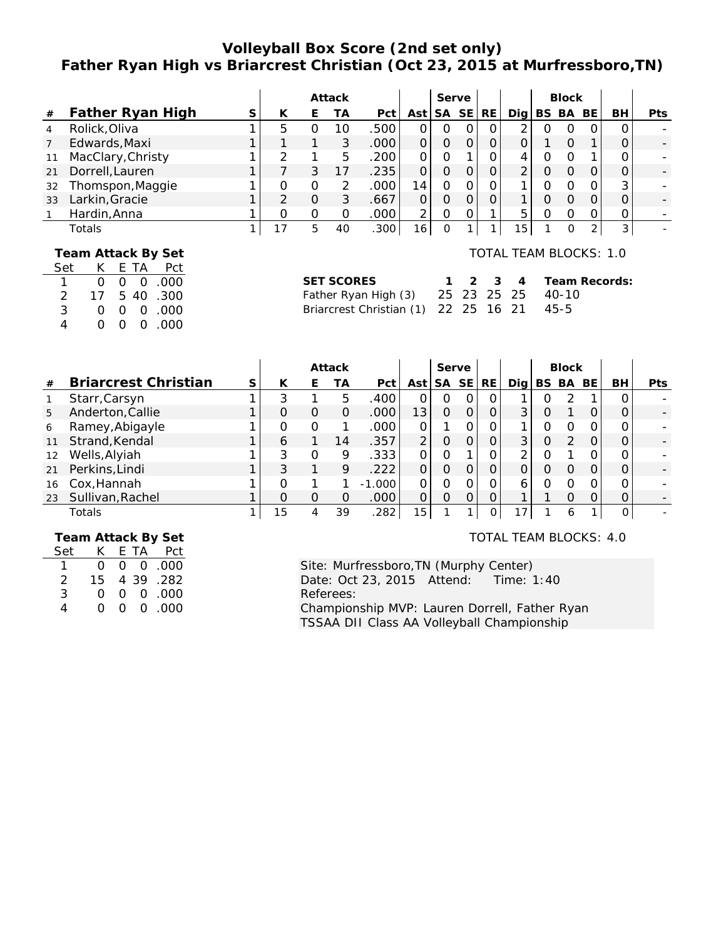# **Volleyball Box Score (2nd set only) Father Ryan High vs Briarcrest Christian (Oct 23, 2015 at Murfressboro,TN)**

|    |                   |   |    |   | Attack |      |                 | Serve     |           |    |                 | <b>Block</b> |     |    |            |
|----|-------------------|---|----|---|--------|------|-----------------|-----------|-----------|----|-----------------|--------------|-----|----|------------|
| #  | Father Ryan High  | S | К  | E | ТA     | Pct  | Ast             | <b>SA</b> | <b>SE</b> | RE | Dia             | BS BA        | BE. | BH | <b>Pts</b> |
|    | Rolick, Oliva     |   | 5  |   | 10     | .500 |                 | O         |           | Ο  |                 |              |     | Ω  |            |
|    | Edwards, Maxi     |   |    |   | 3      | .000 |                 | 0         |           |    |                 |              |     |    |            |
|    | MacClary, Christy |   |    |   | 5      | .200 |                 |           |           |    | 4               |              |     |    |            |
| 21 | Dorrell, Lauren   |   |    | 3 |        | .235 |                 | 0         |           | 0  |                 |              |     |    |            |
| 32 | Thomspon, Maggie  |   |    | 0 |        | .000 | 4               | Ο         |           |    |                 |              |     | 3  |            |
| 33 | Larkin, Gracie    |   |    | O | 3      | .667 |                 | 0         |           | 0  |                 |              |     |    |            |
|    | Hardin, Anna      |   |    | O | O      | .000 | ⌒               |           |           |    | 5               |              |     | Ο  |            |
|    | Totals            |   | 17 | 5 | 40     | .300 | 16 <sub>1</sub> | 0         |           |    | 15 <sub>1</sub> |              | ◠   | 3  |            |

## **Team Attack By Set**

| Set | K. |    |   | E TA Pct              |
|-----|----|----|---|-----------------------|
|     | Ω  |    |   | 00.00                 |
| 2   | 17 |    |   | 5 40 .300             |
| 3   | Ω  |    |   | $0 \quad 0 \quad 000$ |
| 4   | Ω  | O. | 0 | .000                  |

# TOTAL TEAM BLOCKS: 1.0

| SET SCORES                                |  |  | 1 2 3 4 Team Records: |
|-------------------------------------------|--|--|-----------------------|
| Father Ryan High (3) 25 23 25 25 40-10    |  |  |                       |
| Briarcrest Christian (1) 22 25 16 21 45-5 |  |  |                       |

|                   |                             |   | Attack |   |    | Serve             |                 |          |           |           |     | <b>Block</b> |          |     |    |            |
|-------------------|-----------------------------|---|--------|---|----|-------------------|-----------------|----------|-----------|-----------|-----|--------------|----------|-----|----|------------|
| #                 | <b>Briarcrest Christian</b> | S | К      | E | ТA | Pct               | Ast             | SА       | <b>SE</b> | <b>RE</b> | Dia | BS.          | BA       | BE. | BH | <b>Pts</b> |
|                   | Starr, Carsyn               |   |        |   | 5  | .400              |                 | O        |           | 0         |     |              |          |     |    |            |
| 5                 | Anderton, Callie            |   |        | O | Ο  | .000 <sub>1</sub> | 13 <sub>1</sub> | 0        |           |           | 3   |              |          |     |    |            |
| 6                 | Ramey, Abigayle             |   |        | Ο |    | .000              |                 |          |           |           |     | ი            |          |     |    |            |
| 11                | Strand, Kendal              |   | h      |   | 14 | .357              | 2               | 0        |           |           | 3   | O            | $\Omega$ | O   |    |            |
| $12 \overline{ }$ | Wells, Alyiah               |   |        | 0 | 9  | .333              |                 | Ω        |           |           | ⌒   |              |          |     |    |            |
| 21                | Perkins, Lindi              |   | 3      |   | 9  | .222              | 0               | 0        |           | Ο         |     |              |          |     |    |            |
| 16                | Cox, Hannah                 |   |        |   |    | $-1.000$          |                 | ი        |           |           | 6   |              |          |     |    |            |
| 23                | Sullivan, Rachel            |   |        | O | Ω  | .000              | $\Omega$        | $\Omega$ |           |           |     |              |          |     |    |            |
|                   | Totals                      |   | 15     | 4 | 39 | .282              | 15              |          |           |           |     |              | O        |     |    |            |

 **Team Attack By Set**

| Set           | K.     |          | E TA Pct  |
|---------------|--------|----------|-----------|
|               | Ω      |          | 00.00     |
| $\mathcal{P}$ | 15     |          | 4 39 .282 |
| 3             | Ω      |          | 00.000    |
| Δ             | $\cap$ | $\Omega$ | 00.000    |

#### TOTAL TEAM BLOCKS: 4.0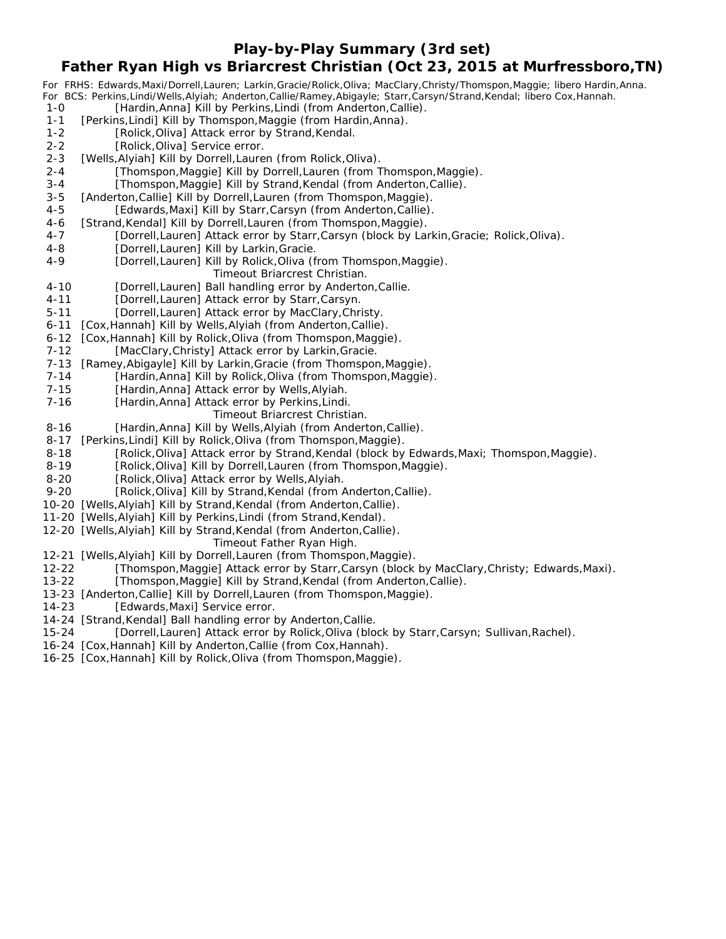**Play-by-Play Summary (3rd set)**

## **Father Ryan High vs Briarcrest Christian (Oct 23, 2015 at Murfressboro,TN)**

*For FRHS: Edwards,Maxi/Dorrell,Lauren; Larkin,Gracie/Rolick,Oliva; MacClary,Christy/Thomspon,Maggie; libero Hardin,Anna. For BCS: Perkins,Lindi/Wells,Alyiah; Anderton,Callie/Ramey,Abigayle; Starr,Carsyn/Strand,Kendal; libero Cox,Hannah.* 1-0 [Hardin,Anna] Kill by Perkins,Lindi (from Anderton,Callie). 1-1 [Perkins, Lindi] Kill by Thomspon, Maggie (from Hardin, Anna). 1-2 [Rolick, Oliva] Attack error by Strand, Kendal. 2-2 [Rolick, Oliva] Service error. 2-3 [Wells, Alyiah] Kill by Dorrell, Lauren (from Rolick, Oliva). 2-4 [Thomspon,Maggie] Kill by Dorrell,Lauren (from Thomspon,Maggie). 3-4 [Thomspon,Maggie] Kill by Strand,Kendal (from Anderton,Callie). 3-5 [Anderton,Callie] Kill by Dorrell,Lauren (from Thomspon,Maggie). 4-5 [Edwards, Maxi] Kill by Starr, Carsyn (from Anderton, Callie). 4-6 [Strand, Kendal] Kill by Dorrell, Lauren (from Thomspon, Maggie). 4-7 [Dorrell,Lauren] Attack error by Starr,Carsyn (block by Larkin, Gracie; Rolick, Oliva). 4-8 [Dorrell,Lauren] Kill by Larkin, Gracie. 4-9 [Dorrell,Lauren] Kill by Rolick, Oliva (from Thomspon, Maggie). *Timeout Briarcrest Christian.* 4-10 [Dorrell,Lauren] Ball handling error by Anderton, Callie. 4-11 [Dorrell,Lauren] Attack error by Starr, Carsyn. 5-11 [Dorrell,Lauren] Attack error by MacClary, Christy. 6-11 [Cox, Hannah] Kill by Wells, Alyiah (from Anderton, Callie). 6-12 [Cox, Hannah] Kill by Rolick, Oliva (from Thomspon, Maggie). 7-12 [MacClary, Christy] Attack error by Larkin, Gracie. 7-13 [Ramey, Abigayle] Kill by Larkin, Gracie (from Thomspon, Maggie). 7-14 [Hardin,Anna] Kill by Rolick,Oliva (from Thomspon,Maggie). 7-15 [Hardin,Anna] Attack error by Wells, Alyiah. 7-16 [Hardin,Anna] Attack error by Perkins,Lindi. *Timeout Briarcrest Christian.* 8-16 [Hardin,Anna] Kill by Wells,Alyiah (from Anderton,Callie). 8-17 [Perkins, Lindi] Kill by Rolick, Oliva (from Thomspon, Maggie). 8-18 [Rolick,Oliva] Attack error by Strand,Kendal (block by Edwards,Maxi; Thomspon,Maggie). 8-19 [Rolick,Oliva] Kill by Dorrell,Lauren (from Thomspon,Maggie). 8-20 [Rolick, Oliva] Attack error by Wells, Alyiah. 9-20 [Rolick, Oliva] Kill by Strand, Kendal (from Anderton, Callie). 10-20 [Wells,Alyiah] Kill by Strand,Kendal (from Anderton,Callie). 11-20 [Wells,Alyiah] Kill by Perkins,Lindi (from Strand,Kendal). 12-20 [Wells,Alyiah] Kill by Strand,Kendal (from Anderton,Callie). *Timeout Father Ryan High.* 12-21 [Wells,Alyiah] Kill by Dorrell,Lauren (from Thomspon,Maggie). 12-22 [Thomspon,Maggie] Attack error by Starr,Carsyn (block by MacClary,Christy; Edwards,Maxi). 13-22 [Thomspon,Maggie] Kill by Strand,Kendal (from Anderton,Callie). 13-23 [Anderton,Callie] Kill by Dorrell,Lauren (from Thomspon,Maggie). 14-23 [Edwards, Maxi] Service error. 14-24 [Strand,Kendal] Ball handling error by Anderton,Callie. 15-24 [Dorrell,Lauren] Attack error by Rolick,Oliva (block by Starr,Carsyn; Sullivan,Rachel). 16-24 [Cox,Hannah] Kill by Anderton,Callie (from Cox,Hannah). 16-25 [Cox,Hannah] Kill by Rolick,Oliva (from Thomspon,Maggie).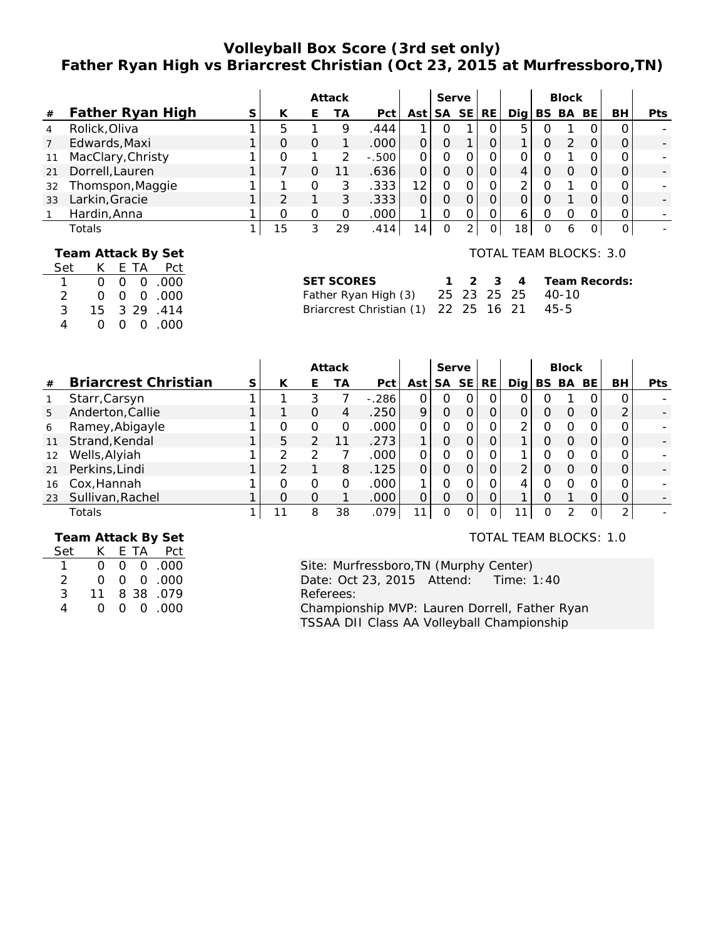# **Volleyball Box Score (3rd set only) Father Ryan High vs Briarcrest Christian (Oct 23, 2015 at Murfressboro,TN)**

|                |                   |   |    |   | Attack |         |                 | Serve     |           |          |                 |   | <b>Block</b> |     |          |            |
|----------------|-------------------|---|----|---|--------|---------|-----------------|-----------|-----------|----------|-----------------|---|--------------|-----|----------|------------|
| #              | Father Ryan High  | S | К  | E | ТA     | Pct     | Ast             | <b>SA</b> | <b>SE</b> | RE       | Dia             |   | BS BA        | BE. | BH       | <b>Pts</b> |
| $\overline{4}$ | Rolick, Oliva     |   | 5  |   | 9      | .444    |                 |           |           |          | 5               |   |              |     |          |            |
|                | Edwards, Maxi     |   |    | O |        | .000    |                 | 0         |           |          |                 |   |              |     |          |            |
|                | MacClary, Christy |   |    |   | っ      | $-.500$ |                 |           |           |          |                 |   |              |     |          |            |
| 21             | Dorrell, Lauren   |   |    | Ο |        | .636    |                 | Ο         |           |          | 4               |   |              | O   |          |            |
| 32             | Thomspon, Maggie  |   |    | Ω | 3      | .333    | 12              |           |           |          |                 |   |              |     |          |            |
| 33             | Larkin, Gracie    |   |    |   | 3      | .333    |                 | 0         |           |          |                 |   |              |     |          |            |
|                | Hardin, Anna      |   |    | O | Ω      | .000    |                 | ი         |           |          | 6               |   |              |     |          |            |
|                | Totals            |   | 15 |   | 29     | .414    | 14 <sub>1</sub> | O         |           | $\Omega$ | 18 <sub>1</sub> | Ω | 6            | 0   | $\Omega$ |            |
|                |                   |   |    |   |        |         |                 |           |           |          |                 |   |              |     |          |            |

### **Team Attack By Set**

| Set           | K.       |  | E TA Pct              |
|---------------|----------|--|-----------------------|
| $\mathbf{1}$  | O.       |  | $0\quad 0\quad .000$  |
| $\mathcal{P}$ | ∩.       |  | $0 \quad 0 \quad 000$ |
| 3             |          |  | 15 3 29 .414          |
| 4             | $\Omega$ |  | 00.00                 |

### TOTAL TEAM BLOCKS: 3.0

| SET SCORES                                |  |  | 1 2 3 4 Team Records: |
|-------------------------------------------|--|--|-----------------------|
| Father Ryan High (3) 25 23 25 25 40-10    |  |  |                       |
| Briarcrest Christian (1) 22 25 16 21 45-5 |  |  |                       |

|      |                             |   | Attack |               |    | Serve   |     |    |           |           |     | <b>Block</b> |       |     |    |            |
|------|-----------------------------|---|--------|---------------|----|---------|-----|----|-----------|-----------|-----|--------------|-------|-----|----|------------|
| $\#$ | <b>Briarcrest Christian</b> | S | К      | E             | ТA | Pct     | Ast | SА | <b>SE</b> | <b>RE</b> | Dia |              | BS BA | BE. | BH | <b>Pts</b> |
|      | Starr, Carsyn               |   |        | 3             |    | $-.286$ |     | O  |           | Ο         |     |              |       |     |    |            |
| 5    | Anderton, Callie            |   |        | Ο             | 4  | .250    | 9   | 0  |           | Ο         |     |              |       |     | ⌒  |            |
| 6    | Ramey, Abigayle             |   |        | 0             | 0  | .000    |     | Ω  |           | Ο         |     |              |       |     |    |            |
| 11   | Strand, Kendal              |   | 5      | $\mathcal{P}$ |    | .273    |     | Ω  |           |           |     | ი            |       |     |    |            |
| 12   | Wells, Alyiah               |   | ⌒      | 2             |    | .000    |     | ი  |           |           |     |              |       |     |    |            |
| 21   | Perkins, Lindi              |   |        |               | 8  | .125    |     | 0  |           |           | ⌒   |              |       |     |    |            |
| 16   | Cox, Hannah                 |   |        | 0             | ი  | .000    |     | ი  |           |           | 4   |              |       |     |    |            |
| 23   | Sullivan, Rachel            |   |        | O             |    | .000    | O   | 0  |           | $\Omega$  |     |              |       |     |    |            |
|      | Totals                      |   | 11     | 8             | 38 | .079    | 11  | O  |           |           |     | Ο            |       | 0   | 2  |            |

 **Team Attack By Set**

| Set | K.               |  | E TA Pct    |
|-----|------------------|--|-------------|
|     | ∩                |  | 0 0 0 0 0 0 |
| 2   | $\cap$           |  | 00.00       |
| 3   | 11               |  | 8 38 .079   |
|     | $\left( \right)$ |  | 00.00       |

### TOTAL TEAM BLOCKS: 1.0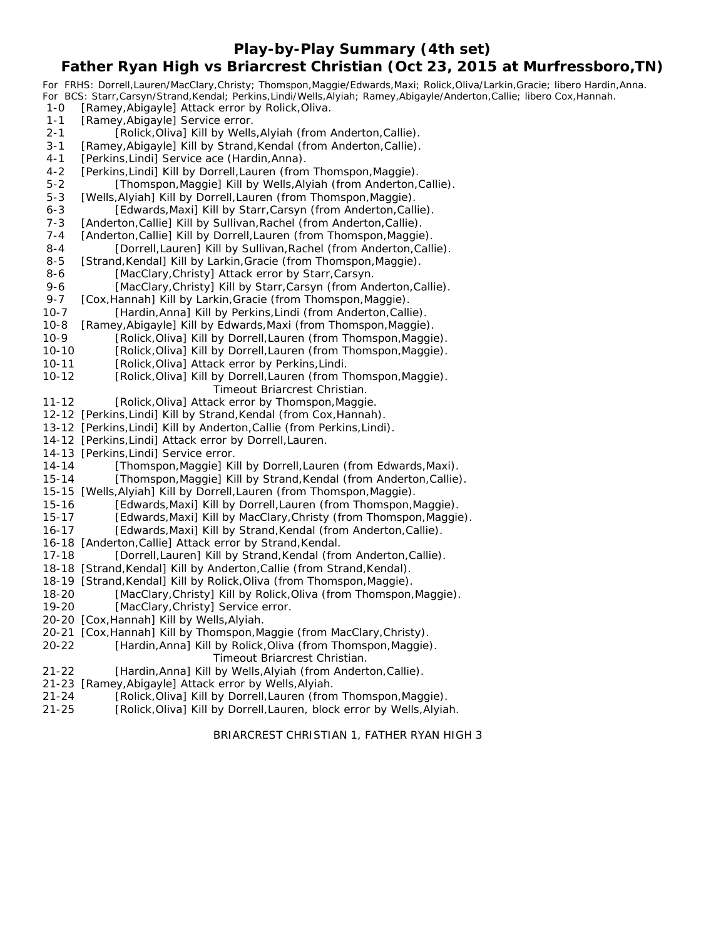**Play-by-Play Summary (4th set)**

## **Father Ryan High vs Briarcrest Christian (Oct 23, 2015 at Murfressboro,TN)**

*For FRHS: Dorrell,Lauren/MacClary,Christy; Thomspon,Maggie/Edwards,Maxi; Rolick,Oliva/Larkin,Gracie; libero Hardin,Anna. For BCS: Starr,Carsyn/Strand,Kendal; Perkins,Lindi/Wells,Alyiah; Ramey,Abigayle/Anderton,Callie; libero Cox,Hannah.* 1-0 [Ramey, Abigayle] Attack error by Rolick, Oliva. 1-1 [Ramey, Abigayle] Service error. 2-1 [Rolick, Oliva] Kill by Wells, Alyiah (from Anderton, Callie). 3-1 [Ramey, Abigayle] Kill by Strand, Kendal (from Anderton, Callie). 4-1 [Perkins, Lindi] Service ace (Hardin, Anna). 4-2 [Perkins, Lindi] Kill by Dorrell, Lauren (from Thomspon, Maggie). 5-2 [Thomspon,Maggie] Kill by Wells,Alyiah (from Anderton,Callie). 5-3 [Wells, Alyiah] Kill by Dorrell, Lauren (from Thomspon, Maggie). 6-3 [Edwards,Maxi] Kill by Starr,Carsyn (from Anderton,Callie). 7-3 [Anderton,Callie] Kill by Sullivan, Rachel (from Anderton, Callie). 7-4 [Anderton, Callie] Kill by Dorrell, Lauren (from Thomspon, Maggie). 8-4 [Dorrell,Lauren] Kill by Sullivan, Rachel (from Anderton, Callie). 8-5 [Strand, Kendal] Kill by Larkin, Gracie (from Thomspon, Maggie). 8-6 [MacClary, Christy] Attack error by Starr, Carsyn. 9-6 [MacClary,Christy] Kill by Starr,Carsyn (from Anderton,Callie).<br>9-7 [Cox,Hannah] Kill by Larkin,Gracie (from Thomspon,Maggie). [Cox, Hannah] Kill by Larkin, Gracie (from Thomspon, Maggie). 10-7 [Hardin,Anna] Kill by Perkins,Lindi (from Anderton,Callie). 10-8 [Ramey,Abigayle] Kill by Edwards,Maxi (from Thomspon,Maggie). 10-9 [Rolick,Oliva] Kill by Dorrell,Lauren (from Thomspon,Maggie). 10-10 [Rolick,Oliva] Kill by Dorrell,Lauren (from Thomspon,Maggie). 10-11 [Rolick,Oliva] Attack error by Perkins,Lindi. 10-12 [Rolick,Oliva] Kill by Dorrell,Lauren (from Thomspon,Maggie). *Timeout Briarcrest Christian.* 11-12 [Rolick,Oliva] Attack error by Thomspon,Maggie. 12-12 [Perkins,Lindi] Kill by Strand,Kendal (from Cox,Hannah). 13-12 [Perkins,Lindi] Kill by Anderton,Callie (from Perkins,Lindi). 14-12 [Perkins,Lindi] Attack error by Dorrell,Lauren. 14-13 [Perkins,Lindi] Service error. 14-14 [Thomspon,Maggie] Kill by Dorrell,Lauren (from Edwards,Maxi). 15-14 [Thomspon,Maggie] Kill by Strand,Kendal (from Anderton,Callie). 15-15 [Wells,Alyiah] Kill by Dorrell,Lauren (from Thomspon,Maggie). 15-16 [Edwards,Maxi] Kill by Dorrell,Lauren (from Thomspon,Maggie). 15-17 [Edwards,Maxi] Kill by MacClary,Christy (from Thomspon,Maggie). 16-17 [Edwards,Maxi] Kill by Strand,Kendal (from Anderton,Callie). 16-18 [Anderton,Callie] Attack error by Strand,Kendal.<br>17-18 [Dorrell,Lauren] Kill by Strand,Kendal (fro [Dorrell,Lauren] Kill by Strand,Kendal (from Anderton,Callie). 18-18 [Strand,Kendal] Kill by Anderton,Callie (from Strand,Kendal). 18-19 [Strand,Kendal] Kill by Rolick,Oliva (from Thomspon,Maggie). 18-20 [MacClary,Christy] Kill by Rolick,Oliva (from Thomspon,Maggie). 19-20 [MacClary,Christy] Service error. 20-20 [Cox,Hannah] Kill by Wells,Alyiah. 20-21 [Cox,Hannah] Kill by Thomspon,Maggie (from MacClary,Christy). 20-22 [Hardin,Anna] Kill by Rolick,Oliva (from Thomspon,Maggie). *Timeout Briarcrest Christian.*

- 21-22 [Hardin,Anna] Kill by Wells,Alyiah (from Anderton,Callie).
- 21-23 [Ramey,Abigayle] Attack error by Wells,Alyiah.
- 21-24 [Rolick,Oliva] Kill by Dorrell,Lauren (from Thomspon,Maggie).
- 21-25 [Rolick,Oliva] Kill by Dorrell,Lauren, block error by Wells,Alyiah.

#### BRIARCREST CHRISTIAN 1, FATHER RYAN HIGH 3